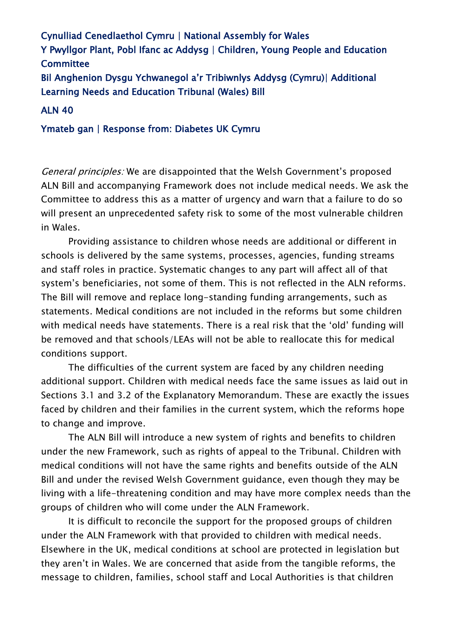# Cynulliad Cenedlaethol Cymru | National Assembly for Wales Y Pwyllgor Plant, Pobl Ifanc ac Addysg | Children, Young People and Education **Committee** Bil Anghenion Dysgu Ychwanegol a'r Tribiwnlys Addysg (Cymru)| Additional Learning Needs and Education Tribunal (Wales) Bill

#### ALN 40

#### Ymateb gan | Response from: Diabetes UK Cymru

General principles: We are disappointed that the Welsh Government's proposed ALN Bill and accompanying Framework does not include medical needs. We ask the Committee to address this as a matter of urgency and warn that a failure to do so will present an unprecedented safety risk to some of the most vulnerable children in Wales.

Providing assistance to children whose needs are additional or different in schools is delivered by the same systems, processes, agencies, funding streams and staff roles in practice. Systematic changes to any part will affect all of that system's beneficiaries, not some of them. This is not reflected in the ALN reforms. The Bill will remove and replace long-standing funding arrangements, such as statements. Medical conditions are not included in the reforms but some children with medical needs have statements. There is a real risk that the 'old' funding will be removed and that schools/LEAs will not be able to reallocate this for medical conditions support.

The difficulties of the current system are faced by any children needing additional support. Children with medical needs face the same issues as laid out in Sections 3.1 and 3.2 of the Explanatory Memorandum. These are exactly the issues faced by children and their families in the current system, which the reforms hope to change and improve.

The ALN Bill will introduce a new system of rights and benefits to children under the new Framework, such as rights of appeal to the Tribunal. Children with medical conditions will not have the same rights and benefits outside of the ALN Bill and under the revised Welsh Government guidance, even though they may be living with a life-threatening condition and may have more complex needs than the groups of children who will come under the ALN Framework.

It is difficult to reconcile the support for the proposed groups of children under the ALN Framework with that provided to children with medical needs. Elsewhere in the UK, medical conditions at school are protected in legislation but they aren't in Wales. We are concerned that aside from the tangible reforms, the message to children, families, school staff and Local Authorities is that children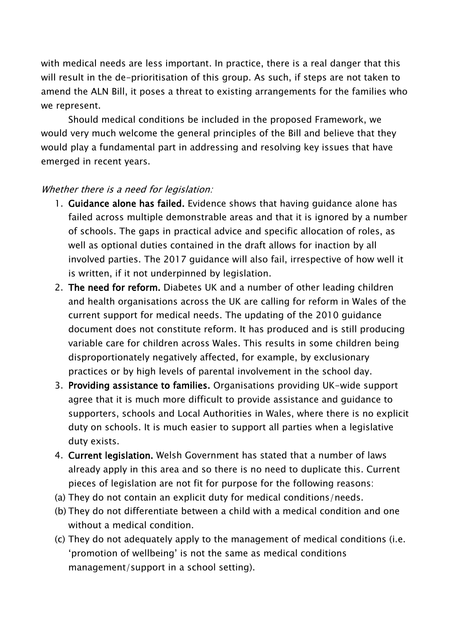with medical needs are less important. In practice, there is a real danger that this will result in the de-prioritisation of this group. As such, if steps are not taken to amend the ALN Bill, it poses a threat to existing arrangements for the families who we represent.

Should medical conditions be included in the proposed Framework, we would very much welcome the general principles of the Bill and believe that they would play a fundamental part in addressing and resolving key issues that have emerged in recent years.

#### Whether there is a need for legislation:

- 1. Guidance alone has failed. Evidence shows that having guidance alone has failed across multiple demonstrable areas and that it is ignored by a number of schools. The gaps in practical advice and specific allocation of roles, as well as optional duties contained in the draft allows for inaction by all involved parties. The 2017 guidance will also fail, irrespective of how well it is written, if it not underpinned by legislation.
- 2. The need for reform. Diabetes UK and a number of other leading children and health organisations across the UK are calling for reform in Wales of the current support for medical needs. The updating of the 2010 guidance document does not constitute reform. It has produced and is still producing variable care for children across Wales. This results in some children being disproportionately negatively affected, for example, by exclusionary practices or by high levels of parental involvement in the school day.
- 3. Providing assistance to families. Organisations providing UK-wide support agree that it is much more difficult to provide assistance and guidance to supporters, schools and Local Authorities in Wales, where there is no explicit duty on schools. It is much easier to support all parties when a legislative duty exists.
- 4. Current legislation. Welsh Government has stated that a number of laws already apply in this area and so there is no need to duplicate this. Current pieces of legislation are not fit for purpose for the following reasons:
- (a) They do not contain an explicit duty for medical conditions/needs.
- (b) They do not differentiate between a child with a medical condition and one without a medical condition.
- (c) They do not adequately apply to the management of medical conditions (i.e. 'promotion of wellbeing' is not the same as medical conditions management/support in a school setting).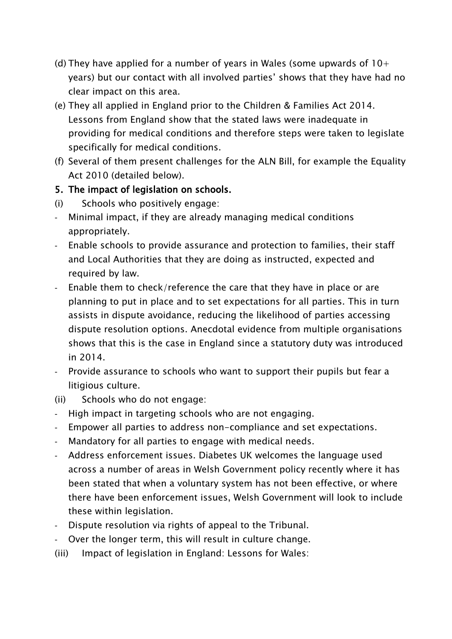- (d) They have applied for a number of years in Wales (some upwards of  $10+$ years) but our contact with all involved parties' shows that they have had no clear impact on this area.
- (e) They all applied in England prior to the Children & Families Act 2014. Lessons from England show that the stated laws were inadequate in providing for medical conditions and therefore steps were taken to legislate specifically for medical conditions.
- (f) Several of them present challenges for the ALN Bill, for example the Equality Act 2010 (detailed below).

## 5. The impact of legislation on schools.

- (i) Schools who positively engage:
- Minimal impact, if they are already managing medical conditions appropriately.
- Enable schools to provide assurance and protection to families, their staff and Local Authorities that they are doing as instructed, expected and required by law.
- Enable them to check/reference the care that they have in place or are planning to put in place and to set expectations for all parties. This in turn assists in dispute avoidance, reducing the likelihood of parties accessing dispute resolution options. Anecdotal evidence from multiple organisations shows that this is the case in England since a statutory duty was introduced in 2014.
- Provide assurance to schools who want to support their pupils but fear a litigious culture.
- (ii) Schools who do not engage:
- High impact in targeting schools who are not engaging.
- Empower all parties to address non-compliance and set expectations.
- Mandatory for all parties to engage with medical needs.
- Address enforcement issues. Diabetes UK welcomes the language used across a number of areas in Welsh Government policy recently where it has been stated that when a voluntary system has not been effective, or where there have been enforcement issues, Welsh Government will look to include these within legislation.
- Dispute resolution via rights of appeal to the Tribunal.
- Over the longer term, this will result in culture change.
- (iii) Impact of legislation in England: Lessons for Wales: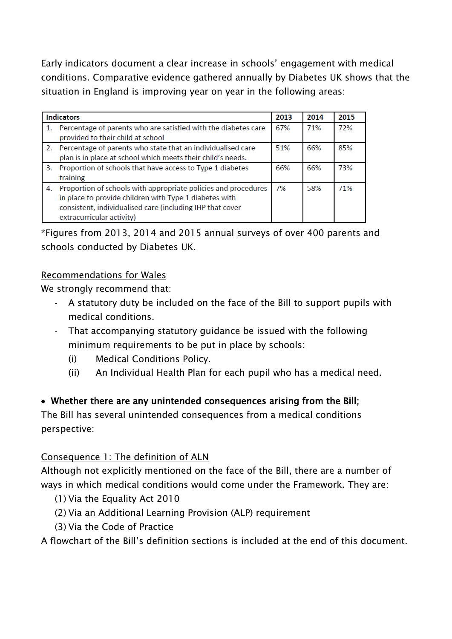Early indicators document a clear increase in schools' engagement with medical conditions. Comparative evidence gathered annually by Diabetes UK shows that the situation in England is improving year on year in the following areas:

| <b>Indicators</b> |                                                                                                                                                                                                                    | 2013 | 2014 | 2015 |
|-------------------|--------------------------------------------------------------------------------------------------------------------------------------------------------------------------------------------------------------------|------|------|------|
| 1.                | Percentage of parents who are satisfied with the diabetes care<br>provided to their child at school                                                                                                                | 67%  | 71%  | 72%  |
|                   | 2. Percentage of parents who state that an individualised care<br>plan is in place at school which meets their child's needs.                                                                                      | 51%  | 66%  | 85%  |
| 3.                | Proportion of schools that have access to Type 1 diabetes<br>training                                                                                                                                              | 66%  | 66%  | 73%  |
| 4.                | Proportion of schools with appropriate policies and procedures<br>in place to provide children with Type 1 diabetes with<br>consistent, individualised care (including IHP that cover<br>extracurricular activity) | 7%   | 58%  | 71%  |

\*Figures from 2013, 2014 and 2015 annual surveys of over 400 parents and schools conducted by Diabetes UK.

### Recommendations for Wales

We strongly recommend that:

- A statutory duty be included on the face of the Bill to support pupils with medical conditions.
- That accompanying statutory guidance be issued with the following minimum requirements to be put in place by schools:
	- (i) Medical Conditions Policy.
	- (ii) An Individual Health Plan for each pupil who has a medical need.

## Whether there are any unintended consequences arising from the Bill;

The Bill has several unintended consequences from a medical conditions perspective:

## Consequence 1: The definition of ALN

Although not explicitly mentioned on the face of the Bill, there are a number of ways in which medical conditions would come under the Framework. They are:

- (1) Via the Equality Act 2010
- (2) Via an Additional Learning Provision (ALP) requirement
- (3) Via the Code of Practice

A flowchart of the Bill's definition sections is included at the end of this document.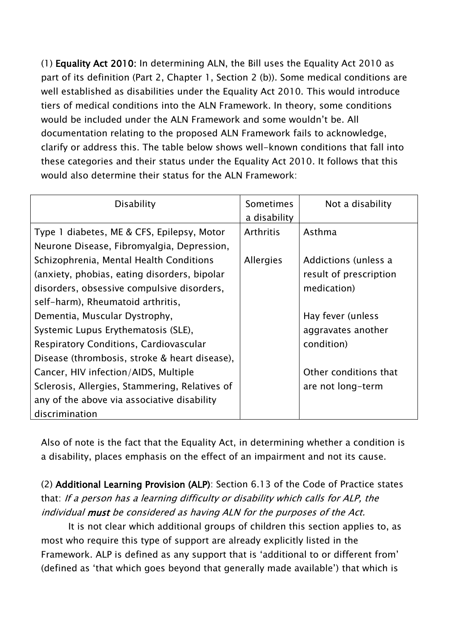(1) Equality Act 2010: In determining ALN, the Bill uses the Equality Act 2010 as part of its definition (Part 2, Chapter 1, Section 2 (b)). Some medical conditions are well established as disabilities under the Equality Act 2010. This would introduce tiers of medical conditions into the ALN Framework. In theory, some conditions would be included under the ALN Framework and some wouldn't be. All documentation relating to the proposed ALN Framework fails to acknowledge, clarify or address this. The table below shows well-known conditions that fall into these categories and their status under the Equality Act 2010. It follows that this would also determine their status for the ALN Framework:

| <b>Disability</b>                              | Sometimes<br>a disability | Not a disability       |
|------------------------------------------------|---------------------------|------------------------|
| Type 1 diabetes, ME & CFS, Epilepsy, Motor     | <b>Arthritis</b>          | Asthma                 |
| Neurone Disease, Fibromyalgia, Depression,     |                           |                        |
| Schizophrenia, Mental Health Conditions        | Allergies                 | Addictions (unless a   |
| (anxiety, phobias, eating disorders, bipolar   |                           | result of prescription |
| disorders, obsessive compulsive disorders,     |                           | medication)            |
| self-harm), Rheumatoid arthritis,              |                           |                        |
| Dementia, Muscular Dystrophy,                  |                           | Hay fever (unless      |
| Systemic Lupus Erythematosis (SLE),            |                           | aggravates another     |
| Respiratory Conditions, Cardiovascular         |                           | condition)             |
| Disease (thrombosis, stroke & heart disease),  |                           |                        |
| Cancer, HIV infection/AIDS, Multiple           |                           | Other conditions that  |
| Sclerosis, Allergies, Stammering, Relatives of |                           | are not long-term      |
| any of the above via associative disability    |                           |                        |
| discrimination                                 |                           |                        |

Also of note is the fact that the Equality Act, in determining whether a condition is a disability, places emphasis on the effect of an impairment and not its cause.

(2) Additional Learning Provision (ALP): Section 6.13 of the Code of Practice states that: If a person has a learning difficulty or disability which calls for ALP, the individual must be considered as having ALN for the purposes of the Act.

It is not clear which additional groups of children this section applies to, as most who require this type of support are already explicitly listed in the Framework. ALP is defined as any support that is 'additional to or different from' (defined as 'that which goes beyond that generally made available') that which is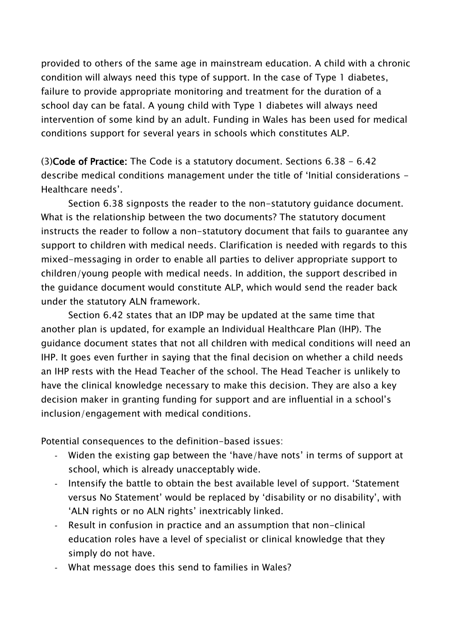provided to others of the same age in mainstream education. A child with a chronic condition will always need this type of support. In the case of Type 1 diabetes, failure to provide appropriate monitoring and treatment for the duration of a school day can be fatal. A young child with Type 1 diabetes will always need intervention of some kind by an adult. Funding in Wales has been used for medical conditions support for several years in schools which constitutes ALP.

(3)Code of Practice: The Code is a statutory document. Sections 6.38 - 6.42 describe medical conditions management under the title of 'Initial considerations - Healthcare needs'.

Section 6.38 signposts the reader to the non-statutory guidance document. What is the relationship between the two documents? The statutory document instructs the reader to follow a non-statutory document that fails to guarantee any support to children with medical needs. Clarification is needed with regards to this mixed-messaging in order to enable all parties to deliver appropriate support to children/young people with medical needs. In addition, the support described in the guidance document would constitute ALP, which would send the reader back under the statutory ALN framework.

Section 6.42 states that an IDP may be updated at the same time that another plan is updated, for example an Individual Healthcare Plan (IHP). The guidance document states that not all children with medical conditions will need an IHP. It goes even further in saying that the final decision on whether a child needs an IHP rests with the Head Teacher of the school. The Head Teacher is unlikely to have the clinical knowledge necessary to make this decision. They are also a key decision maker in granting funding for support and are influential in a school's inclusion/engagement with medical conditions.

Potential consequences to the definition-based issues:

- Widen the existing gap between the 'have/have nots' in terms of support at school, which is already unacceptably wide.
- Intensify the battle to obtain the best available level of support. 'Statement versus No Statement' would be replaced by 'disability or no disability', with 'ALN rights or no ALN rights' inextricably linked.
- Result in confusion in practice and an assumption that non-clinical education roles have a level of specialist or clinical knowledge that they simply do not have.
- What message does this send to families in Wales?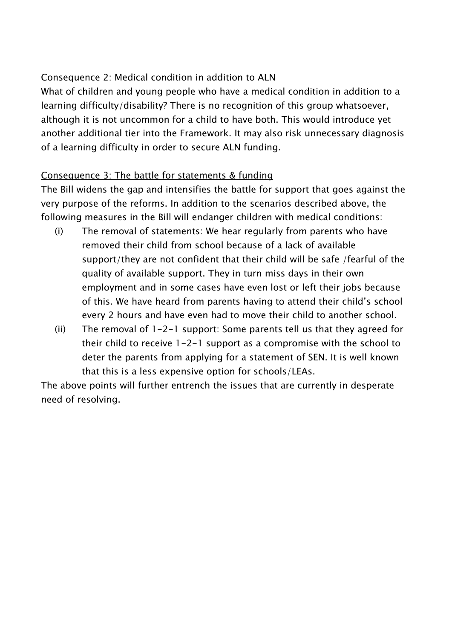## Consequence 2: Medical condition in addition to ALN

What of children and young people who have a medical condition in addition to a learning difficulty/disability? There is no recognition of this group whatsoever, although it is not uncommon for a child to have both. This would introduce yet another additional tier into the Framework. It may also risk unnecessary diagnosis of a learning difficulty in order to secure ALN funding.

## Consequence 3: The battle for statements & funding

The Bill widens the gap and intensifies the battle for support that goes against the very purpose of the reforms. In addition to the scenarios described above, the following measures in the Bill will endanger children with medical conditions:

- (i) The removal of statements: We hear regularly from parents who have removed their child from school because of a lack of available support/they are not confident that their child will be safe /fearful of the quality of available support. They in turn miss days in their own employment and in some cases have even lost or left their jobs because of this. We have heard from parents having to attend their child's school every 2 hours and have even had to move their child to another school.
- (ii) The removal of 1-2-1 support: Some parents tell us that they agreed for their child to receive 1-2-1 support as a compromise with the school to deter the parents from applying for a statement of SEN. It is well known that this is a less expensive option for schools/LEAs.

The above points will further entrench the issues that are currently in desperate need of resolving.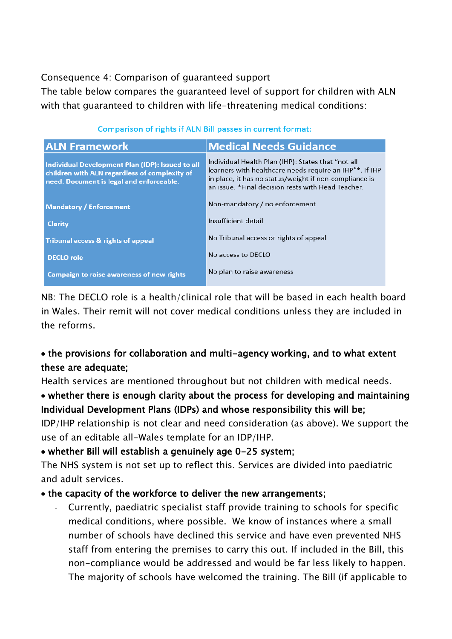## Consequence 4: Comparison of guaranteed support

The table below compares the guaranteed level of support for children with ALN with that guaranteed to children with life-threatening medical conditions:

| <b>ALN Framework</b>                                                                                                                          | <b>Medical Needs Guidance</b>                                                                                                                                                                                                 |  |  |
|-----------------------------------------------------------------------------------------------------------------------------------------------|-------------------------------------------------------------------------------------------------------------------------------------------------------------------------------------------------------------------------------|--|--|
| Individual Development Plan (IDP): Issued to all<br>children with ALN regardless of complexity of<br>need. Document is legal and enforceable. | Individual Health Plan (IHP): States that "not all<br>learners with healthcare needs require an IHP"*. If IHP<br>in place, it has no status/weight if non-compliance is<br>an issue. *Final decision rests with Head Teacher. |  |  |
| <b>Mandatory / Enforcement</b>                                                                                                                | Non-mandatory / no enforcement                                                                                                                                                                                                |  |  |
| <b>Clarity</b>                                                                                                                                | Insufficient detail                                                                                                                                                                                                           |  |  |
| Tribunal access & rights of appeal                                                                                                            | No Tribunal access or rights of appeal                                                                                                                                                                                        |  |  |
| <b>DECLO</b> role                                                                                                                             | No access to DECLO                                                                                                                                                                                                            |  |  |
| <b>Campaign to raise awareness of new rights</b>                                                                                              | No plan to raise awareness                                                                                                                                                                                                    |  |  |

#### Comparison of rights if ALN Bill passes in current format:

NB: The DECLO role is a health/clinical role that will be based in each health board in Wales. Their remit will not cover medical conditions unless they are included in the reforms.

## the provisions for collaboration and multi-agency working, and to what extent these are adequate;

Health services are mentioned throughout but not children with medical needs.

# whether there is enough clarity about the process for developing and maintaining Individual Development Plans (IDPs) and whose responsibility this will be;

IDP/IHP relationship is not clear and need consideration (as above). We support the use of an editable all-Wales template for an IDP/IHP.

## whether Bill will establish a genuinely age 0-25 system;

The NHS system is not set up to reflect this. Services are divided into paediatric and adult services.

## • the capacity of the workforce to deliver the new arrangements;

- Currently, paediatric specialist staff provide training to schools for specific medical conditions, where possible. We know of instances where a small number of schools have declined this service and have even prevented NHS staff from entering the premises to carry this out. If included in the Bill, this non-compliance would be addressed and would be far less likely to happen. The majority of schools have welcomed the training. The Bill (if applicable to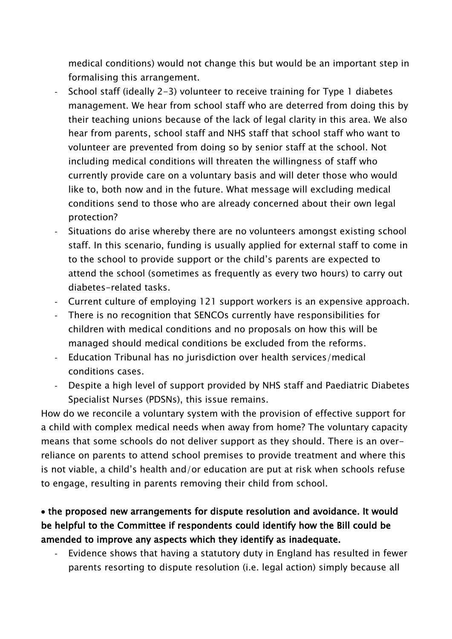medical conditions) would not change this but would be an important step in formalising this arrangement.

- School staff (ideally 2-3) volunteer to receive training for Type 1 diabetes management. We hear from school staff who are deterred from doing this by their teaching unions because of the lack of legal clarity in this area. We also hear from parents, school staff and NHS staff that school staff who want to volunteer are prevented from doing so by senior staff at the school. Not including medical conditions will threaten the willingness of staff who currently provide care on a voluntary basis and will deter those who would like to, both now and in the future. What message will excluding medical conditions send to those who are already concerned about their own legal protection?
- Situations do arise whereby there are no volunteers amongst existing school staff. In this scenario, funding is usually applied for external staff to come in to the school to provide support or the child's parents are expected to attend the school (sometimes as frequently as every two hours) to carry out diabetes-related tasks.
- Current culture of employing 121 support workers is an expensive approach.
- There is no recognition that SENCOs currently have responsibilities for children with medical conditions and no proposals on how this will be managed should medical conditions be excluded from the reforms.
- Education Tribunal has no jurisdiction over health services/medical conditions cases.
- Despite a high level of support provided by NHS staff and Paediatric Diabetes Specialist Nurses (PDSNs), this issue remains.

How do we reconcile a voluntary system with the provision of effective support for a child with complex medical needs when away from home? The voluntary capacity means that some schools do not deliver support as they should. There is an overreliance on parents to attend school premises to provide treatment and where this is not viable, a child's health and/or education are put at risk when schools refuse to engage, resulting in parents removing their child from school.

## • the proposed new arrangements for dispute resolution and avoidance. It would be helpful to the Committee if respondents could identify how the Bill could be amended to improve any aspects which they identify as inadequate.

Evidence shows that having a statutory duty in England has resulted in fewer parents resorting to dispute resolution (i.e. legal action) simply because all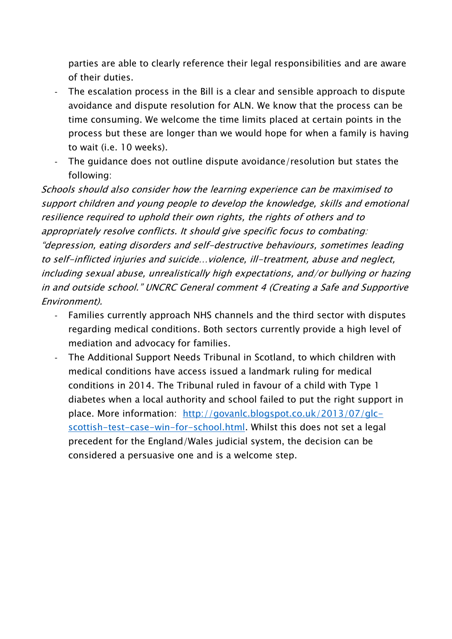parties are able to clearly reference their legal responsibilities and are aware of their duties.

- The escalation process in the Bill is a clear and sensible approach to dispute avoidance and dispute resolution for ALN. We know that the process can be time consuming. We welcome the time limits placed at certain points in the process but these are longer than we would hope for when a family is having to wait (i.e. 10 weeks).
- The guidance does not outline dispute avoidance/resolution but states the following:

Schools should also consider how the learning experience can be maximised to support children and young people to develop the knowledge, skills and emotional resilience required to uphold their own rights, the rights of others and to appropriately resolve conflicts. It should give specific focus to combating: "depression, eating disorders and self-destructive behaviours, sometimes leading to self-inflicted injuries and suicide…violence, ill-treatment, abuse and neglect, including sexual abuse, unrealistically high expectations, and/or bullying or hazing in and outside school." UNCRC General comment 4 (Creating a Safe and Supportive Environment).

- Families currently approach NHS channels and the third sector with disputes regarding medical conditions. Both sectors currently provide a high level of mediation and advocacy for families.
- The Additional Support Needs Tribunal in Scotland, to which children with medical conditions have access issued a landmark ruling for medical conditions in 2014. The Tribunal ruled in favour of a child with Type 1 diabetes when a local authority and school failed to put the right support in place. More information: [http://govanlc.blogspot.co.uk/2013/07/glc](http://govanlc.blogspot.co.uk/2013/07/glc-scottish-test-case-win-for-school.html)[scottish-test-case-win-for-school.html.](http://govanlc.blogspot.co.uk/2013/07/glc-scottish-test-case-win-for-school.html) Whilst this does not set a legal precedent for the England/Wales judicial system, the decision can be considered a persuasive one and is a welcome step.